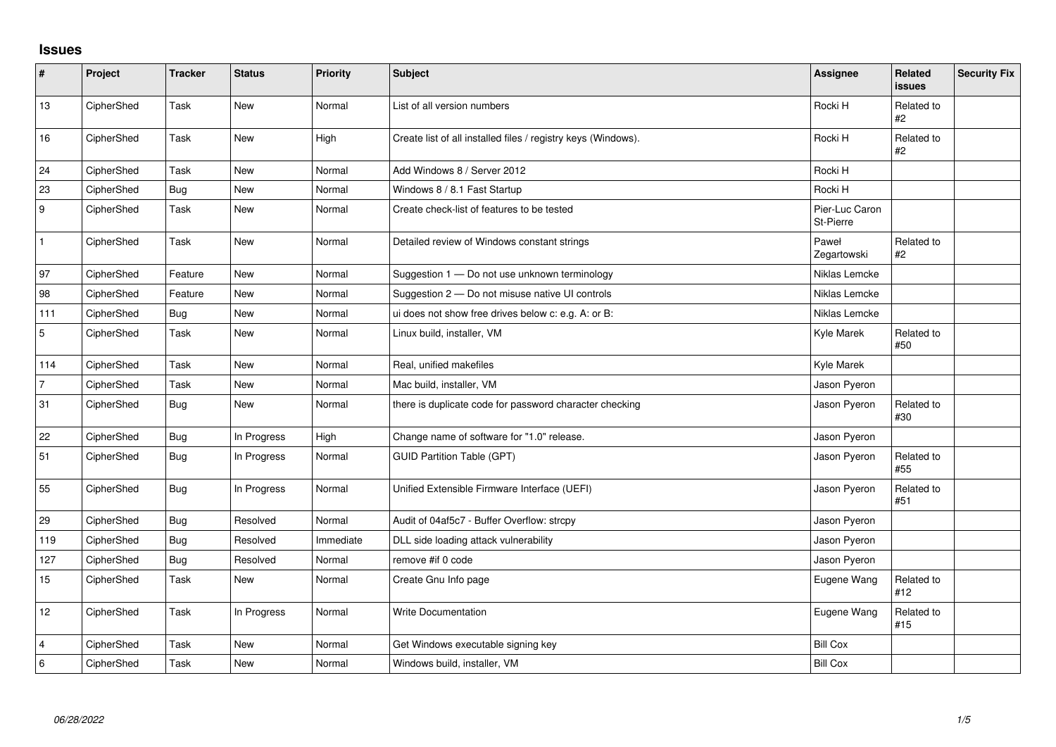## **Issues**

| #              | Project    | <b>Tracker</b> | <b>Status</b> | <b>Priority</b> | Subject                                                       | <b>Assignee</b>             | Related<br><b>issues</b> | <b>Security Fix</b> |
|----------------|------------|----------------|---------------|-----------------|---------------------------------------------------------------|-----------------------------|--------------------------|---------------------|
| 13             | CipherShed | Task           | New           | Normal          | List of all version numbers                                   | Rocki H                     | Related to<br>#2         |                     |
| 16             | CipherShed | Task           | New           | High            | Create list of all installed files / registry keys (Windows). | Rocki H                     | Related to<br>#2         |                     |
| 24             | CipherShed | Task           | New           | Normal          | Add Windows 8 / Server 2012                                   | Rocki H                     |                          |                     |
| 23             | CipherShed | <b>Bug</b>     | <b>New</b>    | Normal          | Windows 8 / 8.1 Fast Startup                                  | Rocki H                     |                          |                     |
| 9              | CipherShed | Task           | New           | Normal          | Create check-list of features to be tested                    | Pier-Luc Caron<br>St-Pierre |                          |                     |
| $\mathbf{1}$   | CipherShed | Task           | <b>New</b>    | Normal          | Detailed review of Windows constant strings                   | Paweł<br>Zegartowski        | Related to<br>#2         |                     |
| 97             | CipherShed | Feature        | New           | Normal          | Suggestion 1 - Do not use unknown terminology                 | Niklas Lemcke               |                          |                     |
| 98             | CipherShed | Feature        | New           | Normal          | Suggestion 2 - Do not misuse native UI controls               | Niklas Lemcke               |                          |                     |
| 111            | CipherShed | <b>Bug</b>     | <b>New</b>    | Normal          | ui does not show free drives below c: e.g. A: or B:           | Niklas Lemcke               |                          |                     |
| $\overline{5}$ | CipherShed | Task           | New           | Normal          | Linux build, installer, VM                                    | Kyle Marek                  | Related to<br>#50        |                     |
| 114            | CipherShed | Task           | New           | Normal          | Real, unified makefiles                                       | Kyle Marek                  |                          |                     |
| $\overline{7}$ | CipherShed | Task           | <b>New</b>    | Normal          | Mac build, installer, VM                                      | Jason Pyeron                |                          |                     |
| 31             | CipherShed | <b>Bug</b>     | <b>New</b>    | Normal          | there is duplicate code for password character checking       | Jason Pyeron                | Related to<br>#30        |                     |
| 22             | CipherShed | <b>Bug</b>     | In Progress   | High            | Change name of software for "1.0" release.                    | Jason Pyeron                |                          |                     |
| 51             | CipherShed | Bug            | In Progress   | Normal          | <b>GUID Partition Table (GPT)</b>                             | Jason Pyeron                | Related to<br>#55        |                     |
| 55             | CipherShed | <b>Bug</b>     | In Progress   | Normal          | Unified Extensible Firmware Interface (UEFI)                  | Jason Pyeron                | Related to<br>#51        |                     |
| 29             | CipherShed | <b>Bug</b>     | Resolved      | Normal          | Audit of 04af5c7 - Buffer Overflow: strcpy                    | Jason Pyeron                |                          |                     |
| 119            | CipherShed | <b>Bug</b>     | Resolved      | Immediate       | DLL side loading attack vulnerability                         | Jason Pyeron                |                          |                     |
| 127            | CipherShed | <b>Bug</b>     | Resolved      | Normal          | remove #if 0 code                                             | Jason Pyeron                |                          |                     |
| 15             | CipherShed | Task           | New           | Normal          | Create Gnu Info page                                          | Eugene Wang                 | Related to<br>#12        |                     |
| 12             | CipherShed | Task           | In Progress   | Normal          | Write Documentation                                           | Eugene Wang                 | Related to<br>#15        |                     |
| 4              | CipherShed | Task           | New           | Normal          | Get Windows executable signing key                            | <b>Bill Cox</b>             |                          |                     |
| $\,6\,$        | CipherShed | Task           | New           | Normal          | Windows build, installer, VM                                  | <b>Bill Cox</b>             |                          |                     |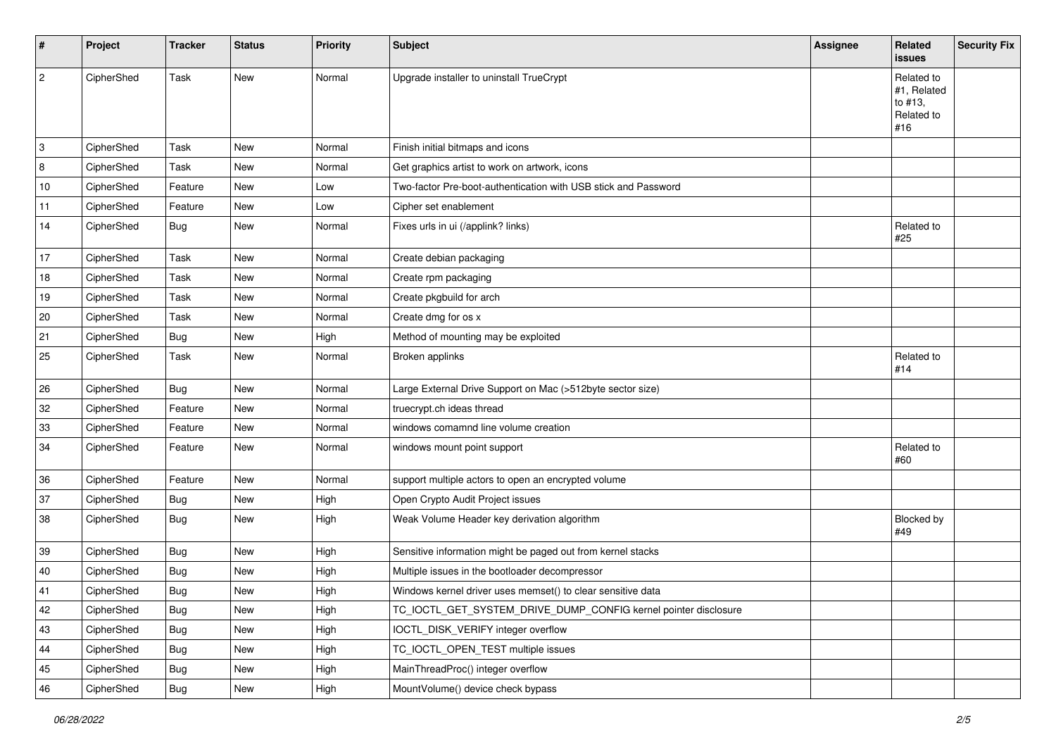| #    | Project    | <b>Tracker</b> | <b>Status</b> | <b>Priority</b> | <b>Subject</b>                                                  | <b>Assignee</b> | Related<br>issues                                         | <b>Security Fix</b> |
|------|------------|----------------|---------------|-----------------|-----------------------------------------------------------------|-----------------|-----------------------------------------------------------|---------------------|
| 2    | CipherShed | Task           | New           | Normal          | Upgrade installer to uninstall TrueCrypt                        |                 | Related to<br>#1, Related<br>to #13,<br>Related to<br>#16 |                     |
| 3    | CipherShed | Task           | New           | Normal          | Finish initial bitmaps and icons                                |                 |                                                           |                     |
| 8    | CipherShed | Task           | New           | Normal          | Get graphics artist to work on artwork, icons                   |                 |                                                           |                     |
| $10$ | CipherShed | Feature        | New           | Low             | Two-factor Pre-boot-authentication with USB stick and Password  |                 |                                                           |                     |
| 11   | CipherShed | Feature        | New           | Low             | Cipher set enablement                                           |                 |                                                           |                     |
| 14   | CipherShed | Bug            | New           | Normal          | Fixes urls in ui (/applink? links)                              |                 | Related to<br>#25                                         |                     |
| 17   | CipherShed | Task           | New           | Normal          | Create debian packaging                                         |                 |                                                           |                     |
| 18   | CipherShed | Task           | New           | Normal          | Create rpm packaging                                            |                 |                                                           |                     |
| 19   | CipherShed | Task           | New           | Normal          | Create pkgbuild for arch                                        |                 |                                                           |                     |
| 20   | CipherShed | Task           | New           | Normal          | Create dmg for os x                                             |                 |                                                           |                     |
| 21   | CipherShed | <b>Bug</b>     | New           | High            | Method of mounting may be exploited                             |                 |                                                           |                     |
| 25   | CipherShed | Task           | New           | Normal          | Broken applinks                                                 |                 | Related to<br>#14                                         |                     |
| 26   | CipherShed | <b>Bug</b>     | New           | Normal          | Large External Drive Support on Mac (>512byte sector size)      |                 |                                                           |                     |
| 32   | CipherShed | Feature        | New           | Normal          | truecrypt.ch ideas thread                                       |                 |                                                           |                     |
| 33   | CipherShed | Feature        | New           | Normal          | windows comamnd line volume creation                            |                 |                                                           |                     |
| 34   | CipherShed | Feature        | New           | Normal          | windows mount point support                                     |                 | Related to<br>#60                                         |                     |
| 36   | CipherShed | Feature        | New           | Normal          | support multiple actors to open an encrypted volume             |                 |                                                           |                     |
| 37   | CipherShed | <b>Bug</b>     | New           | High            | Open Crypto Audit Project issues                                |                 |                                                           |                     |
| 38   | CipherShed | Bug            | New           | High            | Weak Volume Header key derivation algorithm                     |                 | Blocked by<br>#49                                         |                     |
| 39   | CipherShed | <b>Bug</b>     | New           | High            | Sensitive information might be paged out from kernel stacks     |                 |                                                           |                     |
| 40   | CipherShed | <b>Bug</b>     | New           | High            | Multiple issues in the bootloader decompressor                  |                 |                                                           |                     |
| 41   | CipherShed | <b>Bug</b>     | New           | High            | Windows kernel driver uses memset() to clear sensitive data     |                 |                                                           |                     |
| 42   | CipherShed | <b>Bug</b>     | New           | High            | TC_IOCTL_GET_SYSTEM_DRIVE_DUMP_CONFIG kernel pointer disclosure |                 |                                                           |                     |
| 43   | CipherShed | <b>Bug</b>     | New           | High            | IOCTL_DISK_VERIFY integer overflow                              |                 |                                                           |                     |
| 44   | CipherShed | <b>Bug</b>     | New           | High            | TC_IOCTL_OPEN_TEST multiple issues                              |                 |                                                           |                     |
| 45   | CipherShed | <b>Bug</b>     | New           | High            | MainThreadProc() integer overflow                               |                 |                                                           |                     |
| 46   | CipherShed | Bug            | New           | High            | MountVolume() device check bypass                               |                 |                                                           |                     |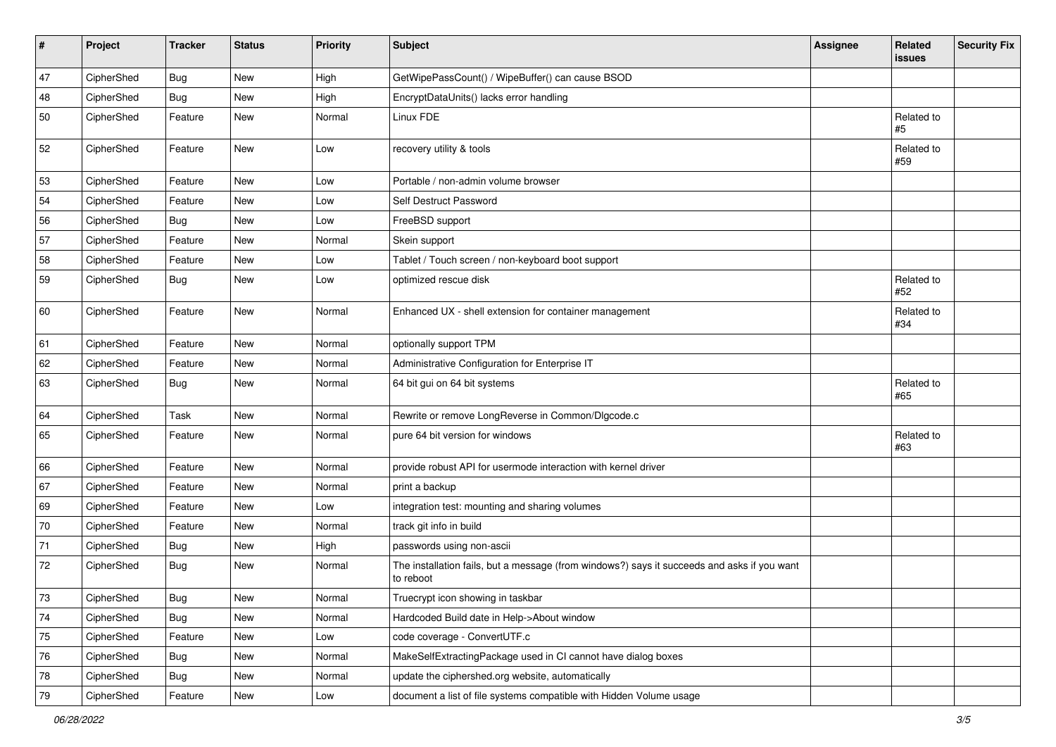| $\sharp$ | Project    | <b>Tracker</b> | <b>Status</b> | Priority | <b>Subject</b>                                                                                           | <b>Assignee</b> | Related<br>issues | <b>Security Fix</b> |
|----------|------------|----------------|---------------|----------|----------------------------------------------------------------------------------------------------------|-----------------|-------------------|---------------------|
| 47       | CipherShed | Bug            | <b>New</b>    | High     | GetWipePassCount() / WipeBuffer() can cause BSOD                                                         |                 |                   |                     |
| 48       | CipherShed | Bug            | New           | High     | EncryptDataUnits() lacks error handling                                                                  |                 |                   |                     |
| 50       | CipherShed | Feature        | New           | Normal   | Linux FDE                                                                                                |                 | Related to<br>#5  |                     |
| 52       | CipherShed | Feature        | <b>New</b>    | Low      | recovery utility & tools                                                                                 |                 | Related to<br>#59 |                     |
| 53       | CipherShed | Feature        | <b>New</b>    | Low      | Portable / non-admin volume browser                                                                      |                 |                   |                     |
| 54       | CipherShed | Feature        | New           | Low      | Self Destruct Password                                                                                   |                 |                   |                     |
| 56       | CipherShed | <b>Bug</b>     | <b>New</b>    | Low      | FreeBSD support                                                                                          |                 |                   |                     |
| 57       | CipherShed | Feature        | New           | Normal   | Skein support                                                                                            |                 |                   |                     |
| 58       | CipherShed | Feature        | New           | Low      | Tablet / Touch screen / non-keyboard boot support                                                        |                 |                   |                     |
| 59       | CipherShed | Bug            | New           | Low      | optimized rescue disk                                                                                    |                 | Related to<br>#52 |                     |
| 60       | CipherShed | Feature        | New           | Normal   | Enhanced UX - shell extension for container management                                                   |                 | Related to<br>#34 |                     |
| 61       | CipherShed | Feature        | New           | Normal   | optionally support TPM                                                                                   |                 |                   |                     |
| 62       | CipherShed | Feature        | New           | Normal   | Administrative Configuration for Enterprise IT                                                           |                 |                   |                     |
| 63       | CipherShed | Bug            | New           | Normal   | 64 bit gui on 64 bit systems                                                                             |                 | Related to<br>#65 |                     |
| 64       | CipherShed | Task           | New           | Normal   | Rewrite or remove LongReverse in Common/DIgcode.c                                                        |                 |                   |                     |
| 65       | CipherShed | Feature        | New           | Normal   | pure 64 bit version for windows                                                                          |                 | Related to<br>#63 |                     |
| 66       | CipherShed | Feature        | <b>New</b>    | Normal   | provide robust API for usermode interaction with kernel driver                                           |                 |                   |                     |
| 67       | CipherShed | Feature        | New           | Normal   | print a backup                                                                                           |                 |                   |                     |
| 69       | CipherShed | Feature        | <b>New</b>    | Low      | integration test: mounting and sharing volumes                                                           |                 |                   |                     |
| 70       | CipherShed | Feature        | New           | Normal   | track git info in build                                                                                  |                 |                   |                     |
| 71       | CipherShed | <b>Bug</b>     | New           | High     | passwords using non-ascii                                                                                |                 |                   |                     |
| 72       | CipherShed | <b>Bug</b>     | New           | Normal   | The installation fails, but a message (from windows?) says it succeeds and asks if you want<br>to reboot |                 |                   |                     |
| $73\,$   | CipherShed | Bug            | New           | Normal   | Truecrypt icon showing in taskbar                                                                        |                 |                   |                     |
| $74\,$   | CipherShed | <b>Bug</b>     | New           | Normal   | Hardcoded Build date in Help->About window                                                               |                 |                   |                     |
| 75       | CipherShed | Feature        | New           | Low      | code coverage - ConvertUTF.c                                                                             |                 |                   |                     |
| 76       | CipherShed | Bug            | New           | Normal   | MakeSelfExtractingPackage used in CI cannot have dialog boxes                                            |                 |                   |                     |
| 78       | CipherShed | <b>Bug</b>     | New           | Normal   | update the ciphershed.org website, automatically                                                         |                 |                   |                     |
| 79       | CipherShed | Feature        | New           | Low      | document a list of file systems compatible with Hidden Volume usage                                      |                 |                   |                     |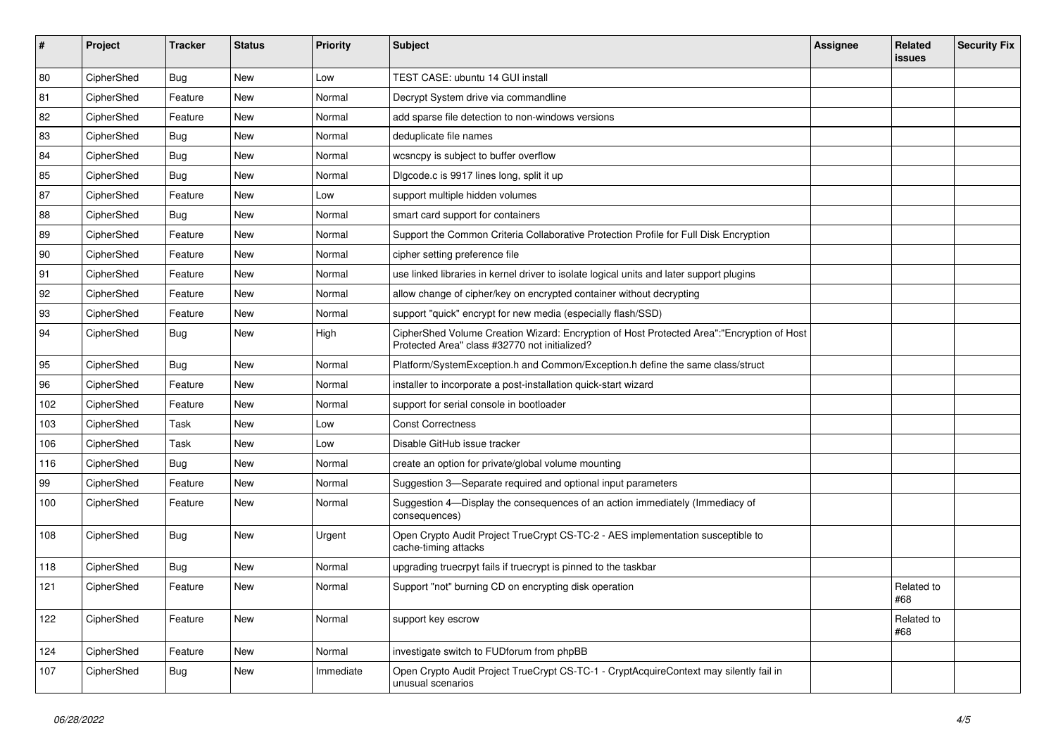| #   | Project    | <b>Tracker</b> | <b>Status</b> | <b>Priority</b> | Subject                                                                                                                                    | <b>Assignee</b> | Related<br><b>issues</b> | <b>Security Fix</b> |
|-----|------------|----------------|---------------|-----------------|--------------------------------------------------------------------------------------------------------------------------------------------|-----------------|--------------------------|---------------------|
| 80  | CipherShed | Bug            | <b>New</b>    | Low             | TEST CASE: ubuntu 14 GUI install                                                                                                           |                 |                          |                     |
| 81  | CipherShed | Feature        | New           | Normal          | Decrypt System drive via commandline                                                                                                       |                 |                          |                     |
| 82  | CipherShed | Feature        | New           | Normal          | add sparse file detection to non-windows versions                                                                                          |                 |                          |                     |
| 83  | CipherShed | <b>Bug</b>     | <b>New</b>    | Normal          | deduplicate file names                                                                                                                     |                 |                          |                     |
| 84  | CipherShed | <b>Bug</b>     | <b>New</b>    | Normal          | wcsncpy is subject to buffer overflow                                                                                                      |                 |                          |                     |
| 85  | CipherShed | <b>Bug</b>     | New           | Normal          | Digcode.c is 9917 lines long, split it up                                                                                                  |                 |                          |                     |
| 87  | CipherShed | Feature        | New           | Low             | support multiple hidden volumes                                                                                                            |                 |                          |                     |
| 88  | CipherShed | Bug            | New           | Normal          | smart card support for containers                                                                                                          |                 |                          |                     |
| 89  | CipherShed | Feature        | <b>New</b>    | Normal          | Support the Common Criteria Collaborative Protection Profile for Full Disk Encryption                                                      |                 |                          |                     |
| 90  | CipherShed | Feature        | New           | Normal          | cipher setting preference file                                                                                                             |                 |                          |                     |
| 91  | CipherShed | Feature        | New           | Normal          | use linked libraries in kernel driver to isolate logical units and later support plugins                                                   |                 |                          |                     |
| 92  | CipherShed | Feature        | New           | Normal          | allow change of cipher/key on encrypted container without decrypting                                                                       |                 |                          |                     |
| 93  | CipherShed | Feature        | New           | Normal          | support "quick" encrypt for new media (especially flash/SSD)                                                                               |                 |                          |                     |
| 94  | CipherShed | <b>Bug</b>     | <b>New</b>    | High            | CipherShed Volume Creation Wizard: Encryption of Host Protected Area":"Encryption of Host<br>Protected Area" class #32770 not initialized? |                 |                          |                     |
| 95  | CipherShed | <b>Bug</b>     | New           | Normal          | Platform/SystemException.h and Common/Exception.h define the same class/struct                                                             |                 |                          |                     |
| 96  | CipherShed | Feature        | <b>New</b>    | Normal          | installer to incorporate a post-installation quick-start wizard                                                                            |                 |                          |                     |
| 102 | CipherShed | Feature        | New           | Normal          | support for serial console in bootloader                                                                                                   |                 |                          |                     |
| 103 | CipherShed | Task           | <b>New</b>    | Low             | <b>Const Correctness</b>                                                                                                                   |                 |                          |                     |
| 106 | CipherShed | Task           | New           | Low             | Disable GitHub issue tracker                                                                                                               |                 |                          |                     |
| 116 | CipherShed | <b>Bug</b>     | New           | Normal          | create an option for private/global volume mounting                                                                                        |                 |                          |                     |
| 99  | CipherShed | Feature        | New           | Normal          | Suggestion 3-Separate required and optional input parameters                                                                               |                 |                          |                     |
| 100 | CipherShed | Feature        | New           | Normal          | Suggestion 4-Display the consequences of an action immediately (Immediacy of<br>consequences)                                              |                 |                          |                     |
| 108 | CipherShed | Bug            | <b>New</b>    | Urgent          | Open Crypto Audit Project TrueCrypt CS-TC-2 - AES implementation susceptible to<br>cache-timing attacks                                    |                 |                          |                     |
| 118 | CipherShed | <b>Bug</b>     | <b>New</b>    | Normal          | upgrading truecrpyt fails if truecrypt is pinned to the taskbar                                                                            |                 |                          |                     |
| 121 | CipherShed | Feature        | New           | Normal          | Support "not" burning CD on encrypting disk operation                                                                                      |                 | Related to<br>#68        |                     |
| 122 | CipherShed | Feature        | New           | Normal          | support key escrow                                                                                                                         |                 | Related to<br>#68        |                     |
| 124 | CipherShed | Feature        | New           | Normal          | investigate switch to FUDforum from phpBB                                                                                                  |                 |                          |                     |
| 107 | CipherShed | <b>Bug</b>     | New           | Immediate       | Open Crypto Audit Project TrueCrypt CS-TC-1 - CryptAcquireContext may silently fail in<br>unusual scenarios                                |                 |                          |                     |